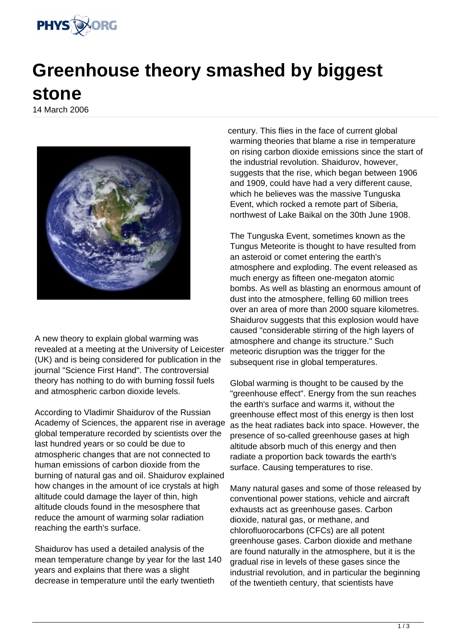

## **Greenhouse theory smashed by biggest stone**

14 March 2006



A new theory to explain global warming was revealed at a meeting at the University of Leicester (UK) and is being considered for publication in the journal "Science First Hand". The controversial theory has nothing to do with burning fossil fuels and atmospheric carbon dioxide levels.

According to Vladimir Shaidurov of the Russian Academy of Sciences, the apparent rise in average global temperature recorded by scientists over the last hundred years or so could be due to atmospheric changes that are not connected to human emissions of carbon dioxide from the burning of natural gas and oil. Shaidurov explained how changes in the amount of ice crystals at high altitude could damage the layer of thin, high altitude clouds found in the mesosphere that reduce the amount of warming solar radiation reaching the earth's surface.

Shaidurov has used a detailed analysis of the mean temperature change by year for the last 140 years and explains that there was a slight decrease in temperature until the early twentieth

century. This flies in the face of current global warming theories that blame a rise in temperature on rising carbon dioxide emissions since the start of the industrial revolution. Shaidurov, however, suggests that the rise, which began between 1906 and 1909, could have had a very different cause, which he believes was the massive Tunguska Event, which rocked a remote part of Siberia, northwest of Lake Baikal on the 30th June 1908.

The Tunguska Event, sometimes known as the Tungus Meteorite is thought to have resulted from an asteroid or comet entering the earth's atmosphere and exploding. The event released as much energy as fifteen one-megaton atomic bombs. As well as blasting an enormous amount of dust into the atmosphere, felling 60 million trees over an area of more than 2000 square kilometres. Shaidurov suggests that this explosion would have caused "considerable stirring of the high layers of atmosphere and change its structure." Such meteoric disruption was the trigger for the subsequent rise in global temperatures.

Global warming is thought to be caused by the "greenhouse effect". Energy from the sun reaches the earth's surface and warms it, without the greenhouse effect most of this energy is then lost as the heat radiates back into space. However, the presence of so-called greenhouse gases at high altitude absorb much of this energy and then radiate a proportion back towards the earth's surface. Causing temperatures to rise.

Many natural gases and some of those released by conventional power stations, vehicle and aircraft exhausts act as greenhouse gases. Carbon dioxide, natural gas, or methane, and chlorofluorocarbons (CFCs) are all potent greenhouse gases. Carbon dioxide and methane are found naturally in the atmosphere, but it is the gradual rise in levels of these gases since the industrial revolution, and in particular the beginning of the twentieth century, that scientists have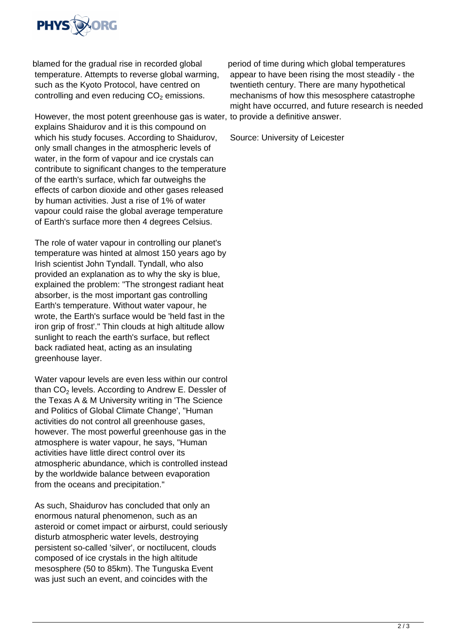

blamed for the gradual rise in recorded global temperature. Attempts to reverse global warming, such as the Kyoto Protocol, have centred on controlling and even reducing  $\mathsf{CO}_2$  emissions.

However, the most potent greenhouse gas is water, to provide a definitive answer. explains Shaidurov and it is this compound on which his study focuses. According to Shaidurov, only small changes in the atmospheric levels of water, in the form of vapour and ice crystals can contribute to significant changes to the temperature of the earth's surface, which far outweighs the effects of carbon dioxide and other gases released by human activities. Just a rise of 1% of water vapour could raise the global average temperature of Earth's surface more then 4 degrees Celsius.

The role of water vapour in controlling our planet's temperature was hinted at almost 150 years ago by Irish scientist John Tyndall. Tyndall, who also provided an explanation as to why the sky is blue, explained the problem: "The strongest radiant heat absorber, is the most important gas controlling Earth's temperature. Without water vapour, he wrote, the Earth's surface would be 'held fast in the iron grip of frost'." Thin clouds at high altitude allow sunlight to reach the earth's surface, but reflect back radiated heat, acting as an insulating greenhouse layer.

Water vapour levels are even less within our control than CO $_2$  levels. According to Andrew E. Dessler of the Texas A & M University writing in 'The Science and Politics of Global Climate Change', "Human activities do not control all greenhouse gases, however. The most powerful greenhouse gas in the atmosphere is water vapour, he says, "Human activities have little direct control over its atmospheric abundance, which is controlled instead by the worldwide balance between evaporation from the oceans and precipitation."

As such, Shaidurov has concluded that only an enormous natural phenomenon, such as an asteroid or comet impact or airburst, could seriously disturb atmospheric water levels, destroying persistent so-called 'silver', or noctilucent, clouds composed of ice crystals in the high altitude mesosphere (50 to 85km). The Tunguska Event was just such an event, and coincides with the

period of time during which global temperatures appear to have been rising the most steadily - the twentieth century. There are many hypothetical mechanisms of how this mesosphere catastrophe might have occurred, and future research is needed

Source: University of Leicester